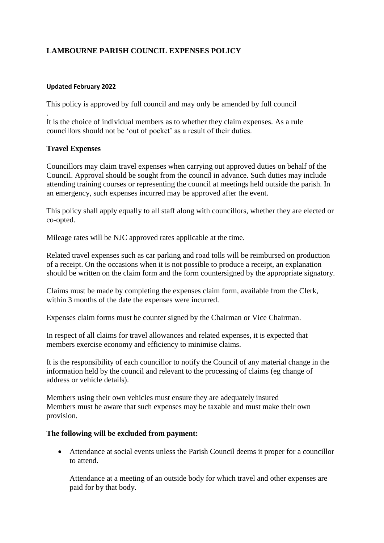# **LAMBOURNE PARISH COUNCIL EXPENSES POLICY**

### **Updated February 2022**

This policy is approved by full council and may only be amended by full council

. It is the choice of individual members as to whether they claim expenses. As a rule councillors should not be 'out of pocket' as a result of their duties.

## **Travel Expenses**

Councillors may claim travel expenses when carrying out approved duties on behalf of the Council. Approval should be sought from the council in advance. Such duties may include attending training courses or representing the council at meetings held outside the parish. In an emergency, such expenses incurred may be approved after the event.

This policy shall apply equally to all staff along with councillors, whether they are elected or co-opted.

Mileage rates will be NJC approved rates applicable at the time.

Related travel expenses such as car parking and road tolls will be reimbursed on production of a receipt. On the occasions when it is not possible to produce a receipt, an explanation should be written on the claim form and the form countersigned by the appropriate signatory.

Claims must be made by completing the expenses claim form, available from the Clerk, within 3 months of the date the expenses were incurred.

Expenses claim forms must be counter signed by the Chairman or Vice Chairman.

In respect of all claims for travel allowances and related expenses, it is expected that members exercise economy and efficiency to minimise claims.

It is the responsibility of each councillor to notify the Council of any material change in the information held by the council and relevant to the processing of claims (eg change of address or vehicle details).

Members using their own vehicles must ensure they are adequately insured Members must be aware that such expenses may be taxable and must make their own provision.

# **The following will be excluded from payment:**

 Attendance at social events unless the Parish Council deems it proper for a councillor to attend.

Attendance at a meeting of an outside body for which travel and other expenses are paid for by that body.